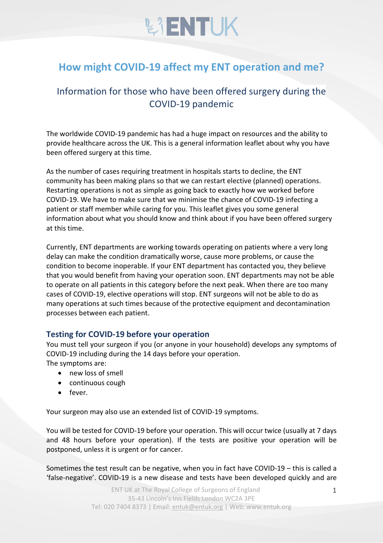# **WENTUK**

### **How might COVID-19 affect my ENT operation and me?**

### Information for those who have been offered surgery during the COVID-19 pandemic

The worldwide COVID-19 pandemic has had a huge impact on resources and the ability to provide healthcare across the UK. This is a general information leaflet about why you have been offered surgery at this time.

As the number of cases requiring treatment in hospitals starts to decline, the ENT community has been making plans so that we can restart elective (planned) operations. Restarting operations is not as simple as going back to exactly how we worked before COVID-19. We have to make sure that we minimise the chance of COVID-19 infecting a patient or staff member while caring for you. This leaflet gives you some general information about what you should know and think about if you have been offered surgery at this time.

Currently, ENT departments are working towards operating on patients where a very long delay can make the condition dramatically worse, cause more problems, or cause the condition to become inoperable. If your ENT department has contacted you, they believe that you would benefit from having your operation soon. ENT departments may not be able to operate on all patients in this category before the next peak. When there are too many cases of COVID-19, elective operations will stop. ENT surgeons will not be able to do as many operations at such times because of the protective equipment and decontamination processes between each patient.

### **Testing for COVID-19 before your operation**

You must tell your surgeon if you (or anyone in your household) develops any symptoms of COVID-19 including during the 14 days before your operation. The symptoms are:

- new loss of smell
- continuous cough
- fever.

Your surgeon may also use an extended list of COVID-19 symptoms.

You will be tested for COVID-19 before your operation. This will occur twice (usually at 7 days and 48 hours before your operation). If the tests are positive your operation will be postponed, unless it is urgent or for cancer.

Sometimes the test result can be negative, when you in fact have COVID-19 – this is called a 'false-negative'. COVID-19 is a new disease and tests have been developed quickly and are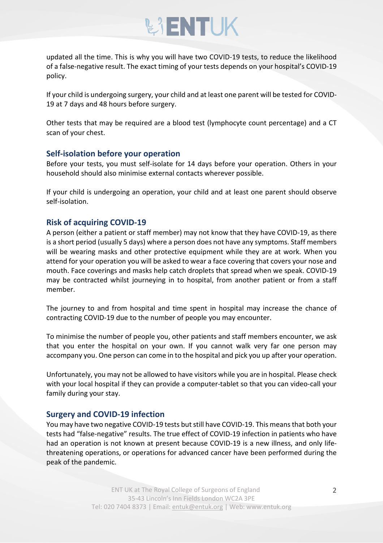## **BIENTUK**

updated all the time. This is why you will have two COVID-19 tests, to reduce the likelihood of a false-negative result. The exact timing of your tests depends on your hospital's COVID-19 policy.

If your child is undergoing surgery, your child and at least one parent will be tested for COVID-19 at 7 days and 48 hours before surgery.

Other tests that may be required are a blood test (lymphocyte count percentage) and a CT scan of your chest.

#### **Self-isolation before your operation**

Before your tests, you must self-isolate for 14 days before your operation. Others in your household should also minimise external contacts wherever possible.

If your child is undergoing an operation, your child and at least one parent should observe self-isolation.

### **Risk of acquiring COVID-19**

A person (either a patient or staff member) may not know that they have COVID-19, as there is a short period (usually 5 days) where a person does not have any symptoms. Staff members will be wearing masks and other protective equipment while they are at work. When you attend for your operation you will be asked to wear a face covering that covers your nose and mouth. Face coverings and masks help catch droplets that spread when we speak. COVID-19 may be contracted whilst journeying in to hospital, from another patient or from a staff member.

The journey to and from hospital and time spent in hospital may increase the chance of contracting COVID-19 due to the number of people you may encounter.

To minimise the number of people you, other patients and staff members encounter, we ask that you enter the hospital on your own. If you cannot walk very far one person may accompany you. One person can come in to the hospital and pick you up after your operation.

Unfortunately, you may not be allowed to have visitors while you are in hospital. Please check with your local hospital if they can provide a computer-tablet so that you can video-call your family during your stay.

### **Surgery and COVID-19 infection**

You may have two negative COVID-19 tests but still have COVID-19. This means that both your tests had "false-negative" results. The true effect of COVID-19 infection in patients who have had an operation is not known at present because COVID-19 is a new illness, and only lifethreatening operations, or operations for advanced cancer have been performed during the peak of the pandemic.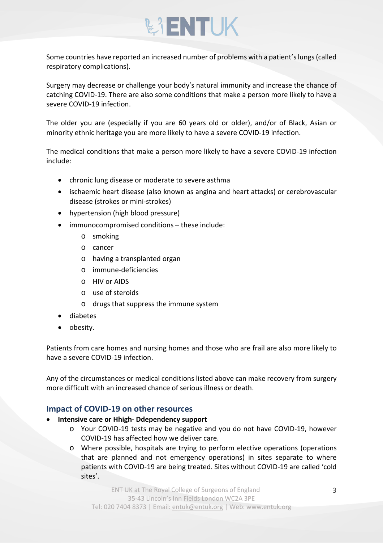# **BIENTUK**

Some countries have reported an increased number of problems with a patient's lungs (called respiratory complications).

Surgery may decrease or challenge your body's natural immunity and increase the chance of catching COVID-19. There are also some conditions that make a person more likely to have a severe COVID-19 infection.

The older you are (especially if you are 60 years old or older), and/or of Black, Asian or minority ethnic heritage you are more likely to have a severe COVID-19 infection.

The medical conditions that make a person more likely to have a severe COVID-19 infection include:

- chronic lung disease or moderate to severe asthma
- ischaemic heart disease (also known as angina and heart attacks) or cerebrovascular disease (strokes or mini-strokes)
- hypertension (high blood pressure)
- immunocompromised conditions these include:
	- o smoking
	- o cancer
	- o having a transplanted organ
	- o immune-deficiencies
	- o HIV or AIDS
	- o use of steroids
	- o drugs that suppress the immune system
- diabetes
- obesity.

Patients from care homes and nursing homes and those who are frail are also more likely to have a severe COVID-19 infection.

Any of the circumstances or medical conditions listed above can make recovery from surgery more difficult with an increased chance of serious illness or death.

### **Impact of COVID-19 on other resources**

- **Intensive care or Hhigh- Ddependency support**
	- o Your COVID-19 tests may be negative and you do not have COVID-19, however COVID-19 has affected how we deliver care.
	- o Where possible, hospitals are trying to perform elective operations (operations that are planned and not emergency operations) in sites separate to where patients with COVID-19 are being treated. Sites without COVID-19 are called 'cold sites'.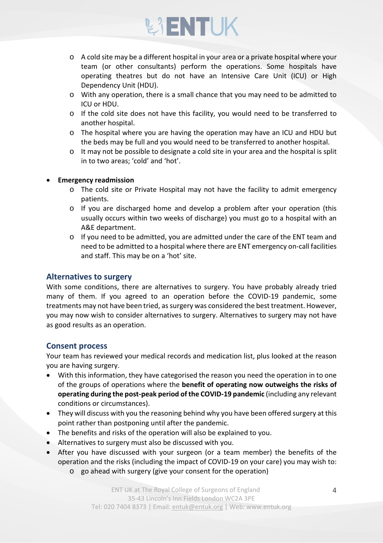# **BIENTUK**

- o A cold site may be a different hospital in your area or a private hospital where your team (or other consultants) perform the operations. Some hospitals have operating theatres but do not have an Intensive Care Unit (ICU) or High Dependency Unit (HDU).
- o With any operation, there is a small chance that you may need to be admitted to ICU or HDU.
- o If the cold site does not have this facility, you would need to be transferred to another hospital.
- o The hospital where you are having the operation may have an ICU and HDU but the beds may be full and you would need to be transferred to another hospital.
- o It may not be possible to designate a cold site in your area and the hospital is split in to two areas; 'cold' and 'hot'.

#### • **Emergency readmission**

- o The cold site or Private Hospital may not have the facility to admit emergency patients.
- o If you are discharged home and develop a problem after your operation (this usually occurs within two weeks of discharge) you must go to a hospital with an A&E department.
- $\circ$  If you need to be admitted, you are admitted under the care of the ENT team and need to be admitted to a hospital where there are ENT emergency on-call facilities and staff. This may be on a 'hot' site.

### **Alternatives to surgery**

With some conditions, there are alternatives to surgery. You have probably already tried many of them. If you agreed to an operation before the COVID-19 pandemic, some treatments may not have been tried, as surgery was considered the best treatment. However, you may now wish to consider alternatives to surgery. Alternatives to surgery may not have as good results as an operation.

### **Consent process**

Your team has reviewed your medical records and medication list, plus looked at the reason you are having surgery.

- With this information, they have categorised the reason you need the operation in to one of the groups of operations where the **benefit of operating now outweighs the risks of operating during the post-peak period of the COVID-19 pandemic** (including any relevant conditions or circumstances).
- They will discuss with you the reasoning behind why you have been offered surgery at this point rather than postponing until after the pandemic.
- The benefits and risks of the operation will also be explained to you.
- Alternatives to surgery must also be discussed with you.
- After you have discussed with your surgeon (or a team member) the benefits of the operation and the risks (including the impact of COVID-19 on your care) you may wish to:
	- o go ahead with surgery (give your consent for the operation)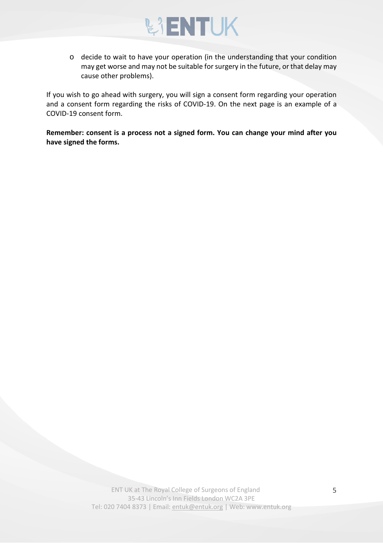

o decide to wait to have your operation (in the understanding that your condition may get worse and may not be suitable for surgery in the future, or that delay may cause other problems).

If you wish to go ahead with surgery, you will sign a consent form regarding your operation and a consent form regarding the risks of COVID-19. On the next page is an example of a COVID-19 consent form.

**Remember: consent is a process not a signed form. You can change your mind after you have signed the forms.**